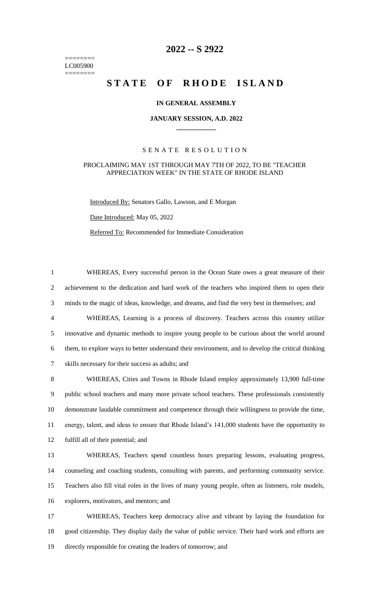======== LC005900 ========

# **-- S 2922**

# **STATE OF RHODE ISLAND**

# **IN GENERAL ASSEMBLY**

#### **JANUARY SESSION, A.D. 2022 \_\_\_\_\_\_\_\_\_\_\_\_**

## S E N A T E R E S O L U T I O N

# PROCLAIMING MAY 1ST THROUGH MAY 7TH OF 2022, TO BE "TEACHER APPRECIATION WEEK" IN THE STATE OF RHODE ISLAND

Introduced By: Senators Gallo, Lawson, and E Morgan

Date Introduced: May 05, 2022

Referred To: Recommended for Immediate Consideration

 WHEREAS, Every successful person in the Ocean State owes a great measure of their achievement to the dedication and hard work of the teachers who inspired them to open their minds to the magic of ideas, knowledge, and dreams, and find the very best in themselves; and WHEREAS, Learning is a process of discovery. Teachers across this country utilize innovative and dynamic methods to inspire young people to be curious about the world around them, to explore ways to better understand their environment, and to develop the critical thinking skills necessary for their success as adults; and

 WHEREAS, Cities and Towns in Rhode Island employ approximately 13,900 full-time public school teachers and many more private school teachers. These professionals consistently demonstrate laudable commitment and competence through their willingness to provide the time, energy, talent, and ideas to ensure that Rhode Island's 141,000 students have the opportunity to fulfill all of their potential; and

 WHEREAS, Teachers spend countless hours preparing lessons, evaluating progress, counseling and coaching students, consulting with parents, and performing community service. Teachers also fill vital roles in the lives of many young people, often as listeners, role models, explorers, motivators, and mentors; and

 WHEREAS, Teachers keep democracy alive and vibrant by laying the foundation for good citizenship. They display daily the value of public service. Their hard work and efforts are directly responsible for creating the leaders of tomorrow; and